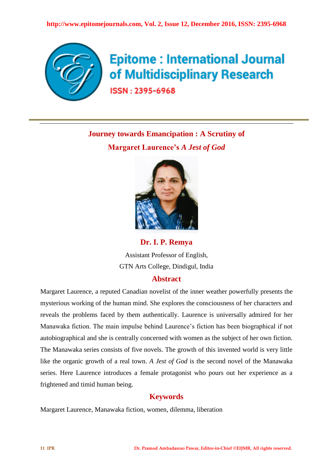

# **Epitome: International Journal** of Multidisciplinary Research

ISSN: 2395-6968

**Journey towards Emancipation : A Scrutiny of Margaret Laurence's** *A Jest of God*



**Dr. I. P. Remya** Assistant Professor of English, GTN Arts College, Dindigul, India **Abstract**

Margaret Laurence, a reputed Canadian novelist of the inner weather powerfully presents the mysterious working of the human mind. She explores the consciousness of her characters and reveals the problems faced by them authentically. Laurence is universally admired for her Manawaka fiction. The main impulse behind Laurence's fiction has been biographical if not autobiographical and she is centrally concerned with women as the subject of her own fiction. The Manawaka series consists of five novels. The growth of this invented world is very little like the organic growth of a real town. *A Jest of God* is the second novel of the Manawaka series. Here Laurence introduces a female protagonist who pours out her experience as a frightened and timid human being.

## **Keywords**

Margaret Laurence, Manawaka fiction, women, dilemma, liberation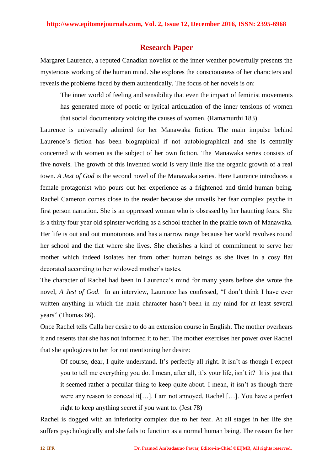### **Research Paper**

Margaret Laurence, a reputed Canadian novelist of the inner weather powerfully presents the mysterious working of the human mind. She explores the consciousness of her characters and reveals the problems faced by them authentically. The focus of her novels is on:

The inner world of feeling and sensibility that even the impact of feminist movements has generated more of poetic or lyrical articulation of the inner tensions of women that social documentary voicing the causes of women. (Ramamurthi 183)

Laurence is universally admired for her Manawaka fiction. The main impulse behind Laurence's fiction has been biographical if not autobiographical and she is centrally concerned with women as the subject of her own fiction. The Manawaka series consists of five novels. The growth of this invented world is very little like the organic growth of a real town. *A Jest of God* is the second novel of the Manawaka series. Here Laurence introduces a female protagonist who pours out her experience as a frightened and timid human being. Rachel Cameron comes close to the reader because she unveils her fear complex psyche in first person narration. She is an oppressed woman who is obsessed by her haunting fears. She is a thirty four year old spinster working as a school teacher in the prairie town of Manawaka. Her life is out and out monotonous and has a narrow range because her world revolves round her school and the flat where she lives. She cherishes a kind of commitment to serve her mother which indeed isolates her from other human beings as she lives in a cosy flat decorated according to her widowed mother's tastes.

The character of Rachel had been in Laurence's mind for many years before she wrote the novel, *A Jest of God*. In an interview, Laurence has confessed, "I don't think I have ever written anything in which the main character hasn't been in my mind for at least several years" (Thomas 66).

Once Rachel tells Calla her desire to do an extension course in English. The mother overhears it and resents that she has not informed it to her. The mother exercises her power over Rachel that she apologizes to her for not mentioning her desire:

Of course, dear, I quite understand. It's perfectly all right. It isn't as though I expect you to tell me everything you do. I mean, after all, it's your life, isn't it? It is just that it seemed rather a peculiar thing to keep quite about. I mean, it isn't as though there were any reason to conceal it[…]. I am not annoyed, Rachel […]. You have a perfect right to keep anything secret if you want to. (Jest 78)

Rachel is dogged with an inferiority complex due to her fear. At all stages in her life she suffers psychologically and she fails to function as a normal human being. The reason for her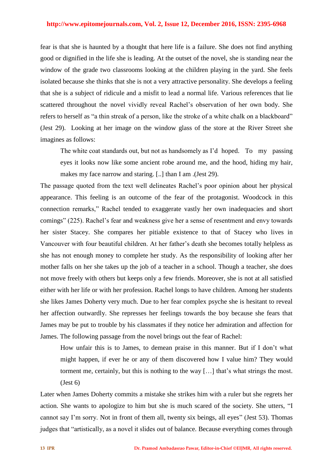#### **http://www.epitomejournals.com, Vol. 2, Issue 12, December 2016, ISSN: 2395-6968**

fear is that she is haunted by a thought that here life is a failure. She does not find anything good or dignified in the life she is leading. At the outset of the novel, she is standing near the window of the grade two classrooms looking at the children playing in the yard. She feels isolated because she thinks that she is not a very attractive personality. She develops a feeling that she is a subject of ridicule and a misfit to lead a normal life. Various references that lie scattered throughout the novel vividly reveal Rachel's observation of her own body. She refers to herself as "a thin streak of a person, like the stroke of a white chalk on a blackboard" (Jest 29). Looking at her image on the window glass of the store at the River Street she imagines as follows:

The white coat standards out, but not as handsomely as I'd hoped. To my passing eyes it looks now like some ancient robe around me, and the hood, hiding my hair, makes my face narrow and staring. [..] than I am .(Jest 29).

The passage quoted from the text well delineates Rachel's poor opinion about her physical appearance. This feeling is an outcome of the fear of the protagonist. Woodcock in this connection remarks," Rachel tended to exaggerate vastly her own inadequacies and short comings" (225). Rachel's fear and weakness give her a sense of resentment and envy towards her sister Stacey. She compares her pitiable existence to that of Stacey who lives in Vancouver with four beautiful children. At her father's death she becomes totally helpless as she has not enough money to complete her study. As the responsibility of looking after her mother falls on her she takes up the job of a teacher in a school. Though a teacher, she does not move freely with others but keeps only a few friends. Moreover, she is not at all satisfied either with her life or with her profession. Rachel longs to have children. Among her students she likes James Doherty very much. Due to her fear complex psyche she is hesitant to reveal her affection outwardly. She represses her feelings towards the boy because she fears that James may be put to trouble by his classmates if they notice her admiration and affection for James. The following passage from the novel brings out the fear of Rachel:

How unfair this is to James, to demean praise in this manner. But if I don't what might happen, if ever he or any of them discovered how I value him? They would torment me, certainly, but this is nothing to the way […] that's what strings the most.  $(Jest 6)$ 

Later when James Doherty commits a mistake she strikes him with a ruler but she regrets her action. She wants to apologize to him but she is much scared of the society. She utters, "I cannot say I'm sorry. Not in front of them all, twenty six beings, all eyes" (Jest 53). Thomas judges that "artistically, as a novel it slides out of balance. Because everything comes through